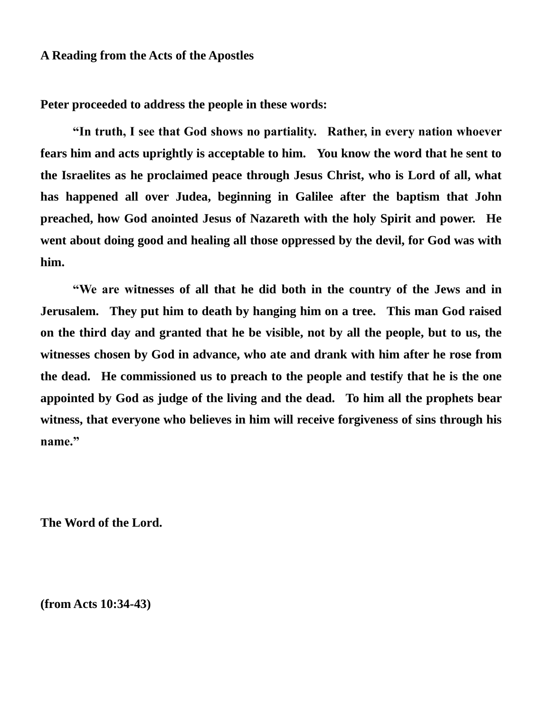### **A Reading from the Acts of the Apostles**

**Peter proceeded to address the people in these words:**

**"In truth, I see that God shows no partiality. Rather, in every nation whoever fears him and acts uprightly is acceptable to him. You know the word that he sent to the Israelites as he proclaimed peace through Jesus Christ, who is Lord of all, what has happened all over Judea, beginning in Galilee after the baptism that John preached, how God anointed Jesus of Nazareth with the holy Spirit and power. He went about doing good and healing all those oppressed by the devil, for God was with him.** 

**"We are witnesses of all that he did both in the country of the Jews and in Jerusalem. They put him to death by hanging him on a tree. This man God raised on the third day and granted that he be visible, not by all the people, but to us, the witnesses chosen by God in advance, who ate and drank with him after he rose from the dead. He commissioned us to preach to the people and testify that he is the one appointed by God as judge of the living and the dead. To him all the prophets bear witness, that everyone who believes in him will receive forgiveness of sins through his name."**

**The Word of the Lord.**

**(from Acts 10:34-43)**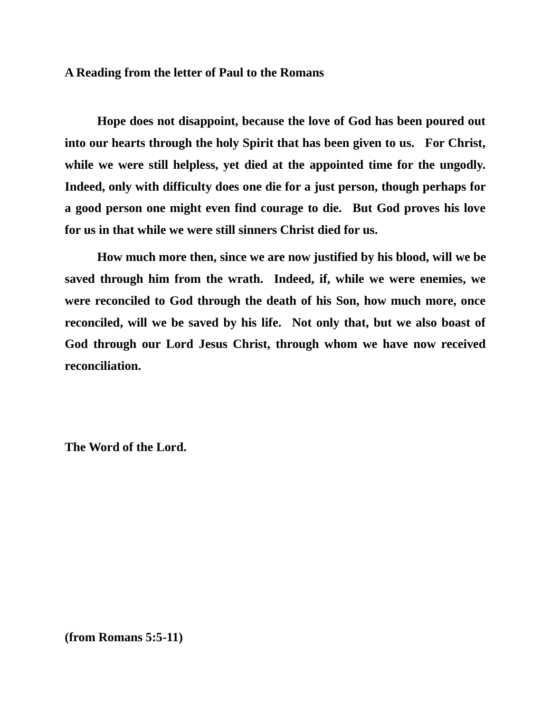#### **A Reading from the letter of Paul to the Romans**

**Hope does not disappoint, because the love of God has been poured out into our hearts through the holy Spirit that has been given to us. For Christ, while we were still helpless, yet died at the appointed time for the ungodly. Indeed, only with difficulty does one die for a just person, though perhaps for a good person one might even find courage to die. But God proves his love for us in that while we were still sinners Christ died for us.** 

**How much more then, since we are now justified by his blood, will we be saved through him from the wrath. Indeed, if, while we were enemies, we were reconciled to God through the death of his Son, how much more, once reconciled, will we be saved by his life. Not only that, but we also boast of God through our Lord Jesus Christ, through whom we have now received reconciliation.**

**The Word of the Lord.**

**(from Romans 5:5-11)**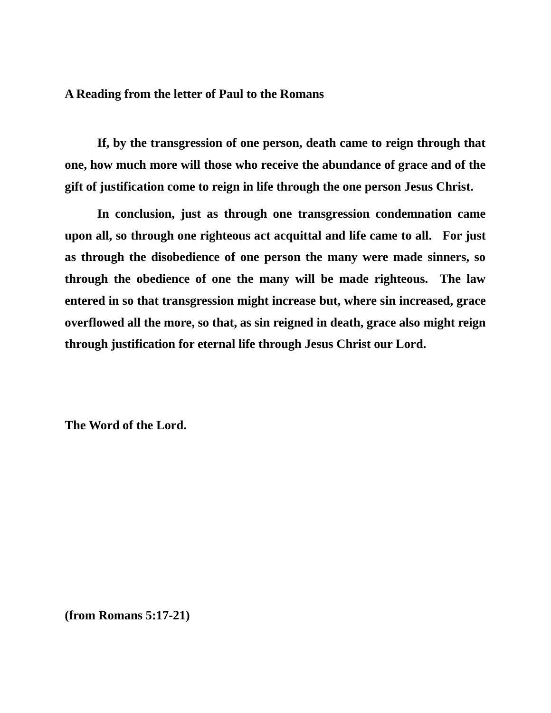### **A Reading from the letter of Paul to the Romans**

**If, by the transgression of one person, death came to reign through that one, how much more will those who receive the abundance of grace and of the gift of justification come to reign in life through the one person Jesus Christ.**

**In conclusion, just as through one transgression condemnation came upon all, so through one righteous act acquittal and life came to all. For just as through the disobedience of one person the many were made sinners, so through the obedience of one the many will be made righteous. The law entered in so that transgression might increase but, where sin increased, grace overflowed all the more, so that, as sin reigned in death, grace also might reign through justification for eternal life through Jesus Christ our Lord.**

**The Word of the Lord.**

**(from Romans 5:17-21)**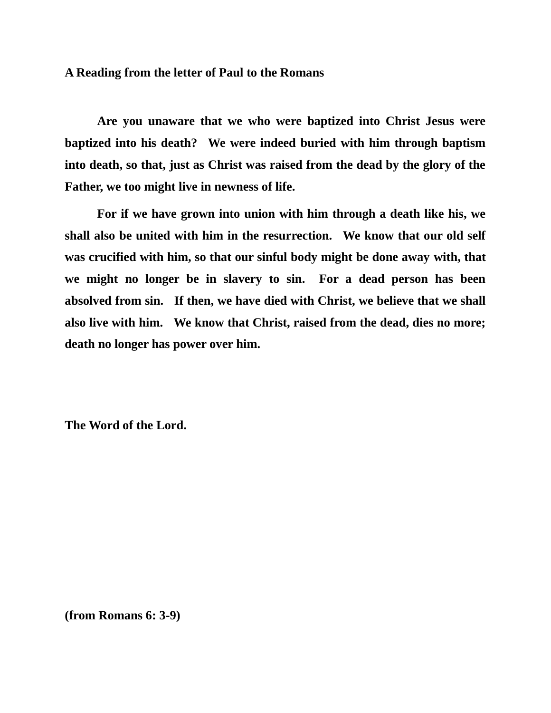#### **A Reading from the letter of Paul to the Romans**

**Are you unaware that we who were baptized into Christ Jesus were baptized into his death? We were indeed buried with him through baptism into death, so that, just as Christ was raised from the dead by the glory of the Father, we too might live in newness of life.** 

**For if we have grown into union with him through a death like his, we shall also be united with him in the resurrection. We know that our old self was crucified with him, so that our sinful body might be done away with, that we might no longer be in slavery to sin. For a dead person has been absolved from sin. If then, we have died with Christ, we believe that we shall also live with him. We know that Christ, raised from the dead, dies no more; death no longer has power over him.**

**The Word of the Lord.**

**(from Romans 6: 3-9)**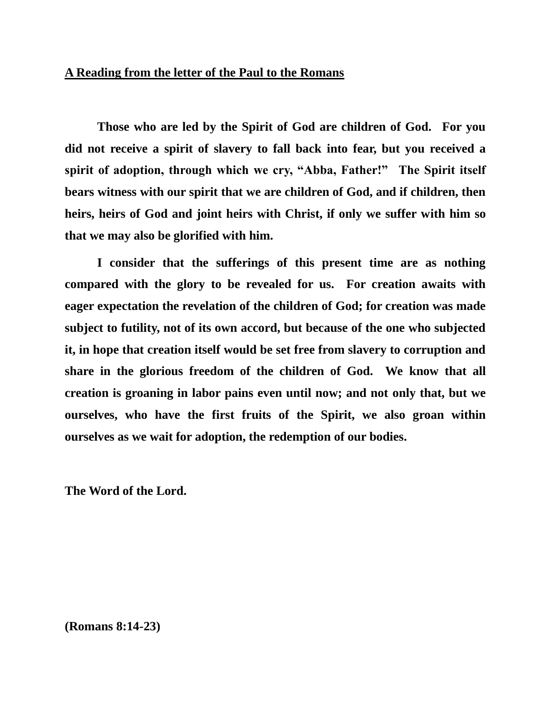### **A Reading from the letter of the Paul to the Romans**

**Those who are led by the Spirit of God are children of God. For you did not receive a spirit of slavery to fall back into fear, but you received a spirit of adoption, through which we cry, "Abba, Father!" The Spirit itself bears witness with our spirit that we are children of God, and if children, then heirs, heirs of God and joint heirs with Christ, if only we suffer with him so that we may also be glorified with him.**

**I consider that the sufferings of this present time are as nothing compared with the glory to be revealed for us. For creation awaits with eager expectation the revelation of the children of God; for creation was made subject to futility, not of its own accord, but because of the one who subjected it, in hope that creation itself would be set free from slavery to corruption and share in the glorious freedom of the children of God. We know that all creation is groaning in labor pains even until now; and not only that, but we ourselves, who have the first fruits of the Spirit, we also groan within ourselves as we wait for adoption, the redemption of our bodies.**

**The Word of the Lord.**

**(Romans 8:14-23)**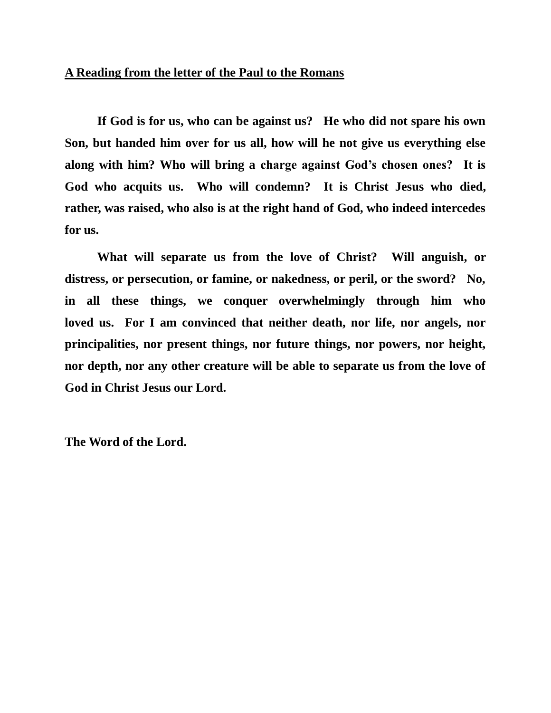# **A Reading from the letter of the Paul to the Romans**

**If God is for us, who can be against us? He who did not spare his own Son, but handed him over for us all, how will he not give us everything else along with him? Who will bring a charge against God's chosen ones? It is God who acquits us. Who will condemn? It is Christ Jesus who died, rather, was raised, who also is at the right hand of God, who indeed intercedes for us.**

**What will separate us from the love of Christ? Will anguish, or distress, or persecution, or famine, or nakedness, or peril, or the sword? No, in all these things, we conquer overwhelmingly through him who loved us. For I am convinced that neither death, nor life, nor angels, nor principalities, nor present things, nor future things, nor powers, nor height, nor depth, nor any other creature will be able to separate us from the love of God in Christ Jesus our Lord.**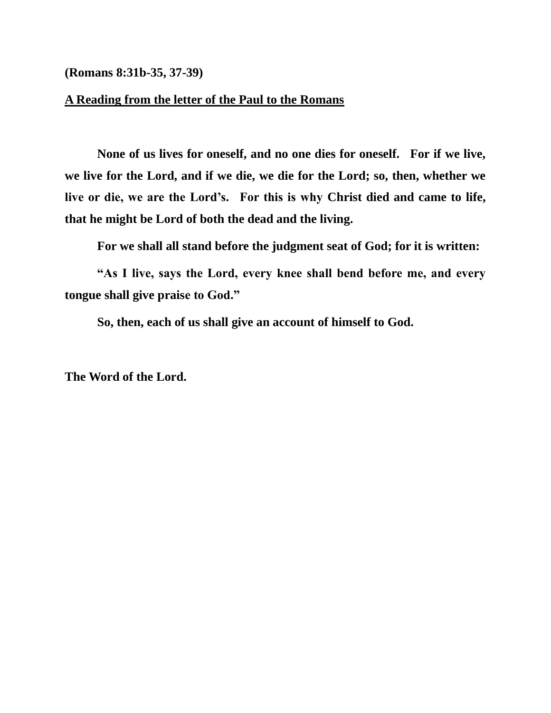**(Romans 8:31b-35, 37-39)**

### **A Reading from the letter of the Paul to the Romans**

**None of us lives for oneself, and no one dies for oneself. For if we live, we live for the Lord, and if we die, we die for the Lord; so, then, whether we live or die, we are the Lord's. For this is why Christ died and came to life, that he might be Lord of both the dead and the living.** 

**For we shall all stand before the judgment seat of God; for it is written:**

**"As I live, says the Lord, every knee shall bend before me, and every tongue shall give praise to God."**

**So, then, each of us shall give an account of himself to God.**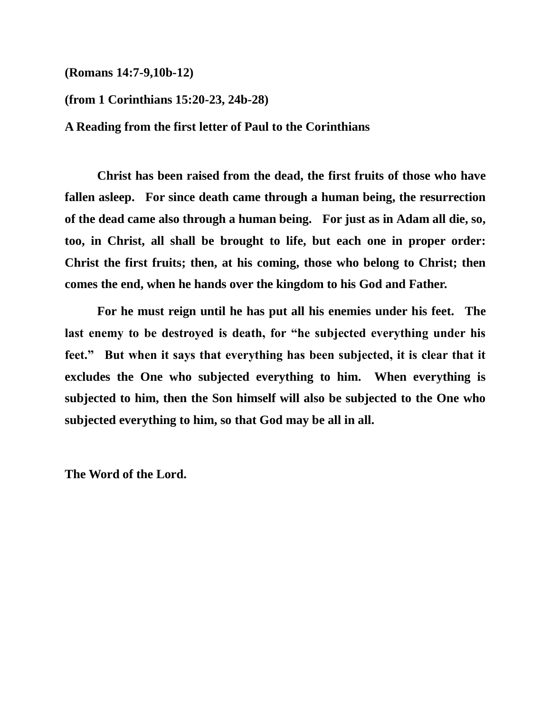**(Romans 14:7-9,10b-12)**

**(from 1 Corinthians 15:20-23, 24b-28)**

**A Reading from the first letter of Paul to the Corinthians**

**Christ has been raised from the dead, the first fruits of those who have fallen asleep. For since death came through a human being, the resurrection of the dead came also through a human being. For just as in Adam all die, so, too, in Christ, all shall be brought to life, but each one in proper order: Christ the first fruits; then, at his coming, those who belong to Christ; then comes the end, when he hands over the kingdom to his God and Father.** 

**For he must reign until he has put all his enemies under his feet. The last enemy to be destroyed is death, for "he subjected everything under his feet." But when it says that everything has been subjected, it is clear that it excludes the One who subjected everything to him. When everything is subjected to him, then the Son himself will also be subjected to the One who subjected everything to him, so that God may be all in all.**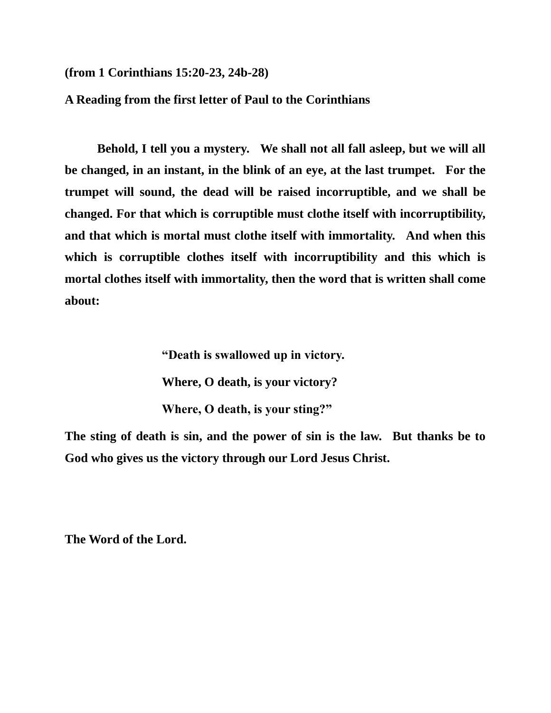**(from 1 Corinthians 15:20-23, 24b-28)**

**A Reading from the first letter of Paul to the Corinthians**

**Behold, I tell you a mystery. We shall not all fall asleep, but we will all be changed, in an instant, in the blink of an eye, at the last trumpet. For the trumpet will sound, the dead will be raised incorruptible, and we shall be changed. For that which is corruptible must clothe itself with incorruptibility, and that which is mortal must clothe itself with immortality. And when this which is corruptible clothes itself with incorruptibility and this which is mortal clothes itself with immortality, then the word that is written shall come about:**

> **"Death is swallowed up in victory. Where, O death, is your victory? Where, O death, is your sting?"**

**The sting of death is sin, and the power of sin is the law. But thanks be to God who gives us the victory through our Lord Jesus Christ.**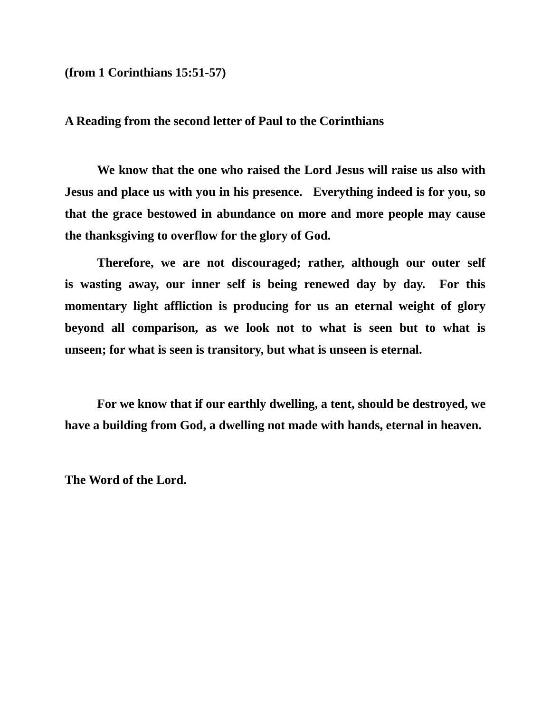**(from 1 Corinthians 15:51-57)**

**A Reading from the second letter of Paul to the Corinthians**

**We know that the one who raised the Lord Jesus will raise us also with Jesus and place us with you in his presence. Everything indeed is for you, so that the grace bestowed in abundance on more and more people may cause the thanksgiving to overflow for the glory of God.**

**Therefore, we are not discouraged; rather, although our outer self is wasting away, our inner self is being renewed day by day. For this momentary light affliction is producing for us an eternal weight of glory beyond all comparison, as we look not to what is seen but to what is unseen; for what is seen is transitory, but what is unseen is eternal.**

**For we know that if our earthly dwelling, a tent, should be destroyed, we have a building from God, a dwelling not made with hands, eternal in heaven.**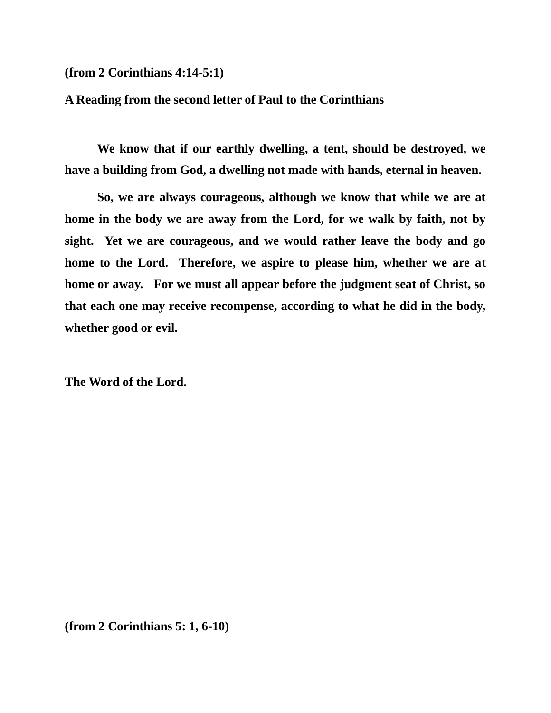**(from 2 Corinthians 4:14-5:1)**

### **A Reading from the second letter of Paul to the Corinthians**

**We know that if our earthly dwelling, a tent, should be destroyed, we have a building from God, a dwelling not made with hands, eternal in heaven.**

**So, we are always courageous, although we know that while we are at home in the body we are away from the Lord, for we walk by faith, not by sight. Yet we are courageous, and we would rather leave the body and go home to the Lord. Therefore, we aspire to please him, whether we are at home or away. For we must all appear before the judgment seat of Christ, so that each one may receive recompense, according to what he did in the body, whether good or evil.**

**The Word of the Lord.**

**(from 2 Corinthians 5: 1, 6-10)**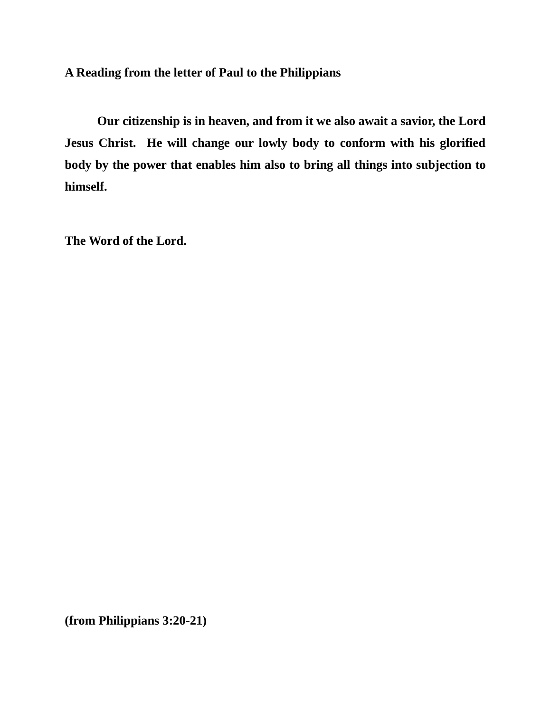**A Reading from the letter of Paul to the Philippians**

**Our citizenship is in heaven, and from it we also await a savior, the Lord Jesus Christ. He will change our lowly body to conform with his glorified body by the power that enables him also to bring all things into subjection to himself.**

**The Word of the Lord.**

**(from Philippians 3:20-21)**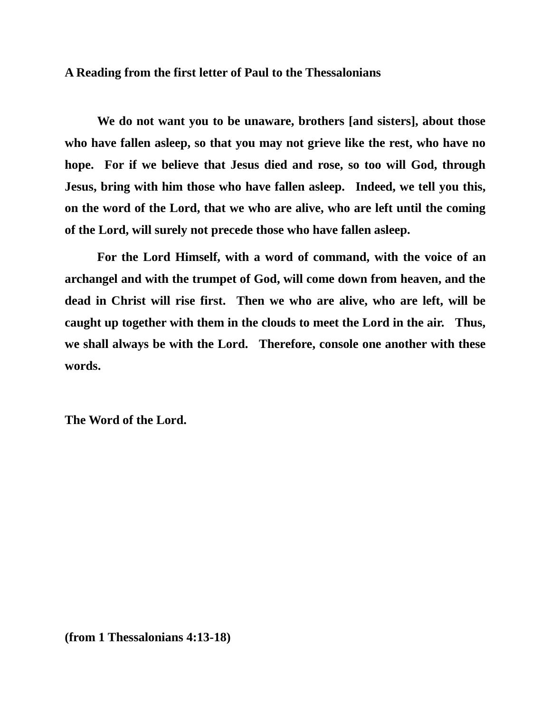#### **A Reading from the first letter of Paul to the Thessalonians**

**We do not want you to be unaware, brothers [and sisters], about those who have fallen asleep, so that you may not grieve like the rest, who have no hope. For if we believe that Jesus died and rose, so too will God, through Jesus, bring with him those who have fallen asleep. Indeed, we tell you this, on the word of the Lord, that we who are alive, who are left until the coming of the Lord, will surely not precede those who have fallen asleep.** 

**For the Lord Himself, with a word of command, with the voice of an archangel and with the trumpet of God, will come down from heaven, and the dead in Christ will rise first. Then we who are alive, who are left, will be caught up together with them in the clouds to meet the Lord in the air. Thus, we shall always be with the Lord. Therefore, console one another with these words.**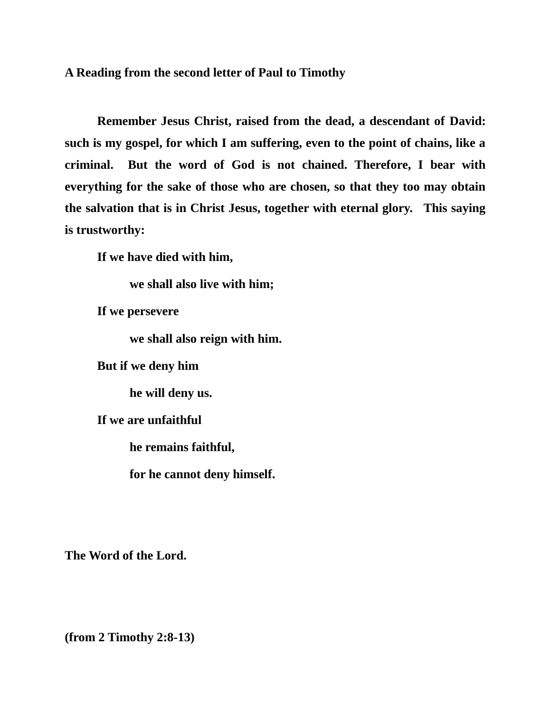**A Reading from the second letter of Paul to Timothy**

**Remember Jesus Christ, raised from the dead, a descendant of David: such is my gospel, for which I am suffering, even to the point of chains, like a criminal. But the word of God is not chained. Therefore, I bear with everything for the sake of those who are chosen, so that they too may obtain the salvation that is in Christ Jesus, together with eternal glory. This saying is trustworthy:**

**If we have died with him,**

**we shall also live with him;**

**If we persevere** 

**we shall also reign with him.**

**But if we deny him**

**he will deny us.**

**If we are unfaithful**

**he remains faithful,**

**for he cannot deny himself.**

**The Word of the Lord.**

**(from 2 Timothy 2:8-13)**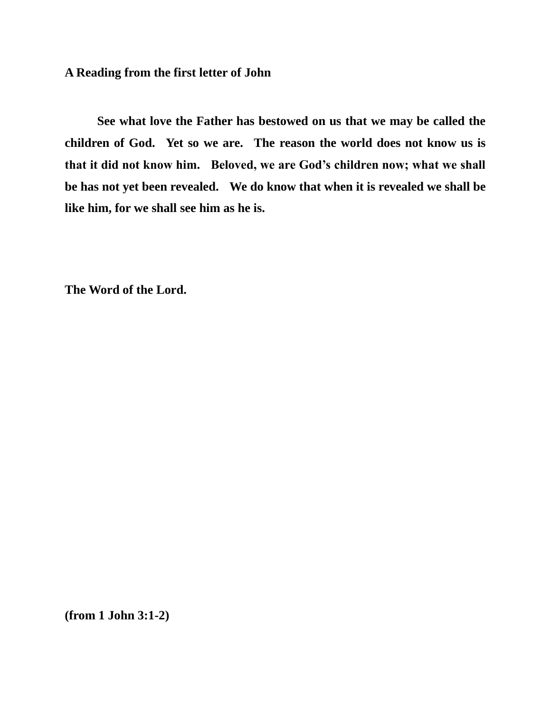# **A Reading from the first letter of John**

**See what love the Father has bestowed on us that we may be called the children of God. Yet so we are. The reason the world does not know us is that it did not know him. Beloved, we are God's children now; what we shall be has not yet been revealed. We do know that when it is revealed we shall be like him, for we shall see him as he is.**

**The Word of the Lord.**

**(from 1 John 3:1-2)**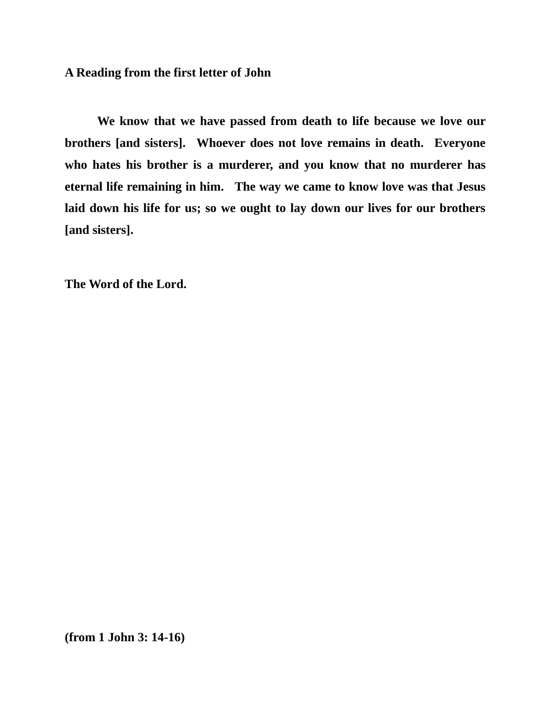# **A Reading from the first letter of John**

**We know that we have passed from death to life because we love our brothers [and sisters]. Whoever does not love remains in death. Everyone who hates his brother is a murderer, and you know that no murderer has eternal life remaining in him. The way we came to know love was that Jesus laid down his life for us; so we ought to lay down our lives for our brothers [and sisters].**

**The Word of the Lord.**

**(from 1 John 3: 14-16)**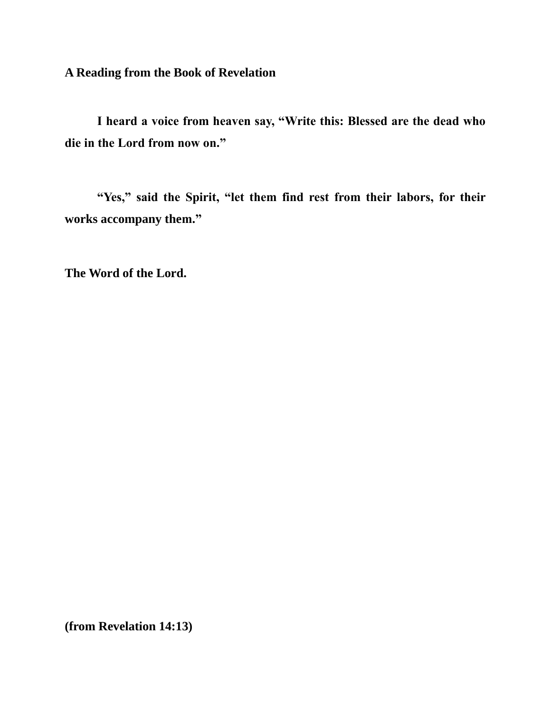**A Reading from the Book of Revelation**

**I heard a voice from heaven say, "Write this: Blessed are the dead who die in the Lord from now on."** 

**"Yes," said the Spirit, "let them find rest from their labors, for their works accompany them."**

**The Word of the Lord.**

**(from Revelation 14:13)**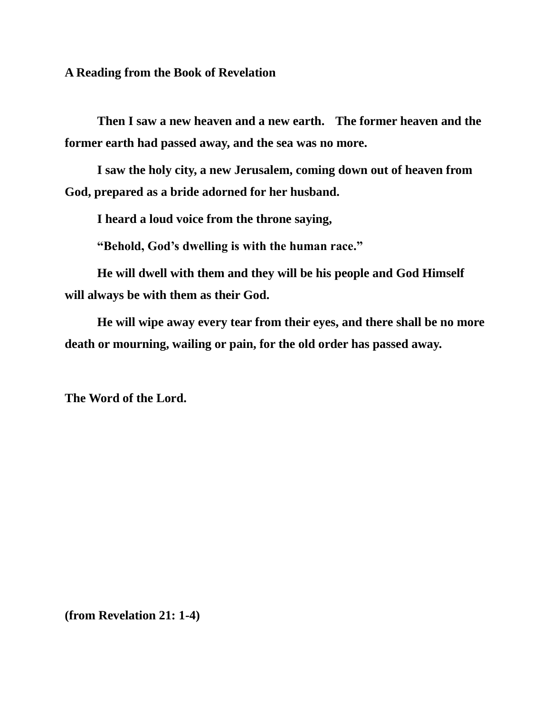**A Reading from the Book of Revelation**

**Then I saw a new heaven and a new earth. The former heaven and the former earth had passed away, and the sea was no more.**

**I saw the holy city, a new Jerusalem, coming down out of heaven from God, prepared as a bride adorned for her husband.**

**I heard a loud voice from the throne saying,** 

**"Behold, God's dwelling is with the human race."**

**He will dwell with them and they will be his people and God Himself will always be with them as their God.**

**He will wipe away every tear from their eyes, and there shall be no more death or mourning, wailing or pain, for the old order has passed away.**

**The Word of the Lord.**

**(from Revelation 21: 1-4)**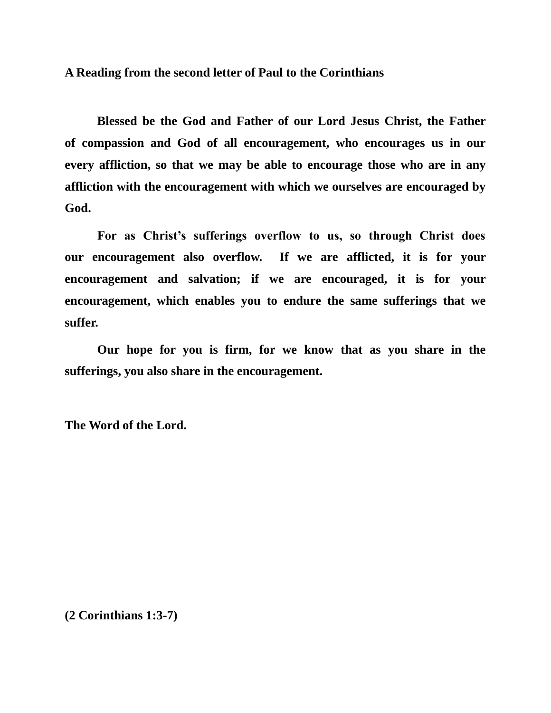**A Reading from the second letter of Paul to the Corinthians**

**Blessed be the God and Father of our Lord Jesus Christ, the Father of compassion and God of all encouragement, who encourages us in our every affliction, so that we may be able to encourage those who are in any affliction with the encouragement with which we ourselves are encouraged by God.**

**For as Christ's sufferings overflow to us, so through Christ does our encouragement also overflow. If we are afflicted, it is for your encouragement and salvation; if we are encouraged, it is for your encouragement, which enables you to endure the same sufferings that we suffer.** 

**Our hope for you is firm, for we know that as you share in the sufferings, you also share in the encouragement.**

**The Word of the Lord.**

**(2 Corinthians 1:3-7)**